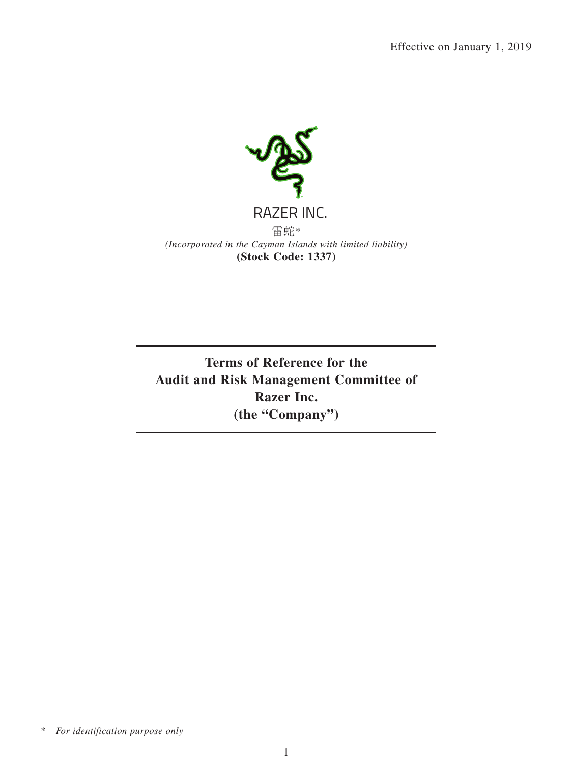

**Terms of Reference for the Audit and Risk Management Committee of Razer Inc. (the "Company")**

\* *For identification purpose only*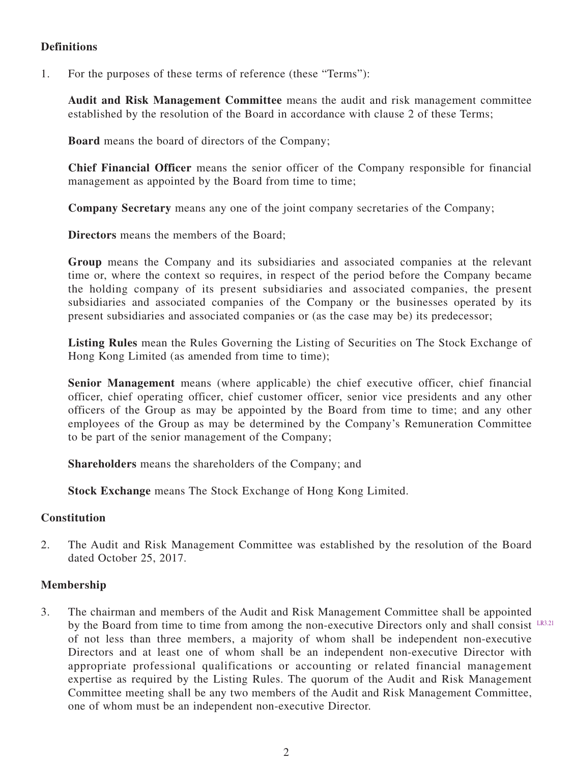# **Definitions**

1. For the purposes of these terms of reference (these "Terms"):

**Audit and Risk Management Committee** means the audit and risk management committee established by the resolution of the Board in accordance with clause 2 of these Terms;

**Board** means the board of directors of the Company;

**Chief Financial Officer** means the senior officer of the Company responsible for financial management as appointed by the Board from time to time;

**Company Secretary** means any one of the joint company secretaries of the Company;

**Directors** means the members of the Board;

**Group** means the Company and its subsidiaries and associated companies at the relevant time or, where the context so requires, in respect of the period before the Company became the holding company of its present subsidiaries and associated companies, the present subsidiaries and associated companies of the Company or the businesses operated by its present subsidiaries and associated companies or (as the case may be) its predecessor;

**Listing Rules** mean the Rules Governing the Listing of Securities on The Stock Exchange of Hong Kong Limited (as amended from time to time);

**Senior Management** means (where applicable) the chief executive officer, chief financial officer, chief operating officer, chief customer officer, senior vice presidents and any other officers of the Group as may be appointed by the Board from time to time; and any other employees of the Group as may be determined by the Company's Remuneration Committee to be part of the senior management of the Company;

**Shareholders** means the shareholders of the Company; and

**Stock Exchange** means The Stock Exchange of Hong Kong Limited.

### **Constitution**

2. The Audit and Risk Management Committee was established by the resolution of the Board dated October 25, 2017.

### **Membership**

3. The chairman and members of the Audit and Risk Management Committee shall be appointed by the Board from time to time from among the non-executive Directors only and shall consist LR3.21 of not less than three members, a majority of whom shall be independent non-executive Directors and at least one of whom shall be an independent non-executive Director with appropriate professional qualifications or accounting or related financial management expertise as required by the Listing Rules. The quorum of the Audit and Risk Management Committee meeting shall be any two members of the Audit and Risk Management Committee, one of whom must be an independent non-executive Director.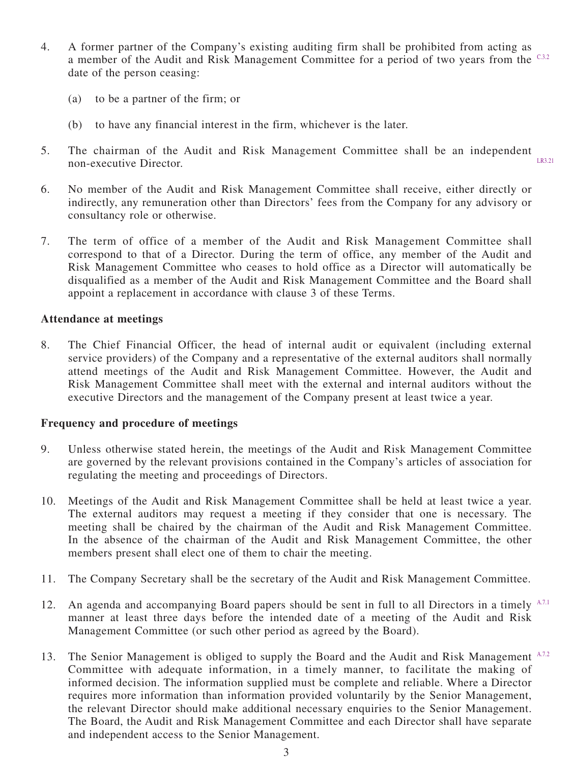- 4. A former partner of the Company's existing auditing firm shall be prohibited from acting as a member of the Audit and Risk Management Committee for a period of two years from the C332 date of the person ceasing:
	- (a) to be a partner of the firm; or
	- (b) to have any financial interest in the firm, whichever is the later.
- 5. The chairman of the Audit and Risk Management Committee shall be an independent non-executive Director. LR3.21
- 6. No member of the Audit and Risk Management Committee shall receive, either directly or indirectly, any remuneration other than Directors' fees from the Company for any advisory or consultancy role or otherwise.
- 7. The term of office of a member of the Audit and Risk Management Committee shall correspond to that of a Director. During the term of office, any member of the Audit and Risk Management Committee who ceases to hold office as a Director will automatically be disqualified as a member of the Audit and Risk Management Committee and the Board shall appoint a replacement in accordance with clause 3 of these Terms.

## **Attendance at meetings**

8. The Chief Financial Officer, the head of internal audit or equivalent (including external service providers) of the Company and a representative of the external auditors shall normally attend meetings of the Audit and Risk Management Committee. However, the Audit and Risk Management Committee shall meet with the external and internal auditors without the executive Directors and the management of the Company present at least twice a year.

### **Frequency and procedure of meetings**

- 9. Unless otherwise stated herein, the meetings of the Audit and Risk Management Committee are governed by the relevant provisions contained in the Company's articles of association for regulating the meeting and proceedings of Directors.
- 10. Meetings of the Audit and Risk Management Committee shall be held at least twice a year. The external auditors may request a meeting if they consider that one is necessary. The meeting shall be chaired by the chairman of the Audit and Risk Management Committee. In the absence of the chairman of the Audit and Risk Management Committee, the other members present shall elect one of them to chair the meeting.
- 11. The Company Secretary shall be the secretary of the Audit and Risk Management Committee.
- 12. An agenda and accompanying Board papers should be sent in full to all Directors in a timely A.7.1 manner at least three days before the intended date of a meeting of the Audit and Risk Management Committee (or such other period as agreed by the Board).
- 13. The Senior Management is obliged to supply the Board and the Audit and Risk Management A.7.2 Committee with adequate information, in a timely manner, to facilitate the making of informed decision. The information supplied must be complete and reliable. Where a Director requires more information than information provided voluntarily by the Senior Management, the relevant Director should make additional necessary enquiries to the Senior Management. The Board, the Audit and Risk Management Committee and each Director shall have separate and independent access to the Senior Management.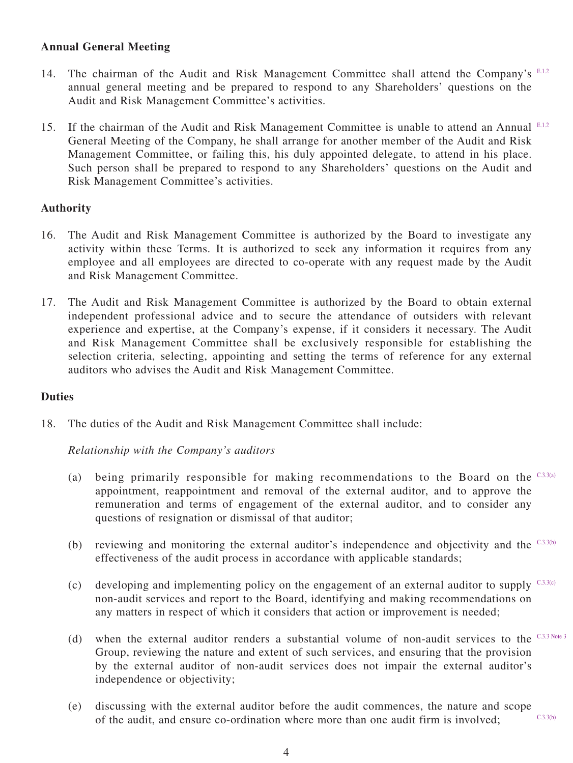# **Annual General Meeting**

- 14. The chairman of the Audit and Risk Management Committee shall attend the Company's E.1.2 annual general meeting and be prepared to respond to any Shareholders' questions on the Audit and Risk Management Committee's activities.
- 15. If the chairman of the Audit and Risk Management Committee is unable to attend an Annual E.1.2 General Meeting of the Company, he shall arrange for another member of the Audit and Risk Management Committee, or failing this, his duly appointed delegate, to attend in his place. Such person shall be prepared to respond to any Shareholders' questions on the Audit and Risk Management Committee's activities.

## **Authority**

- 16. The Audit and Risk Management Committee is authorized by the Board to investigate any activity within these Terms. It is authorized to seek any information it requires from any employee and all employees are directed to co-operate with any request made by the Audit and Risk Management Committee.
- 17. The Audit and Risk Management Committee is authorized by the Board to obtain external independent professional advice and to secure the attendance of outsiders with relevant experience and expertise, at the Company's expense, if it considers it necessary. The Audit and Risk Management Committee shall be exclusively responsible for establishing the selection criteria, selecting, appointing and setting the terms of reference for any external auditors who advises the Audit and Risk Management Committee.

### **Duties**

18. The duties of the Audit and Risk Management Committee shall include:

*Relationship with the Company's auditors*

- (a) being primarily responsible for making recommendations to the Board on the  $C_{3,3(a)}$ appointment, reappointment and removal of the external auditor, and to approve the remuneration and terms of engagement of the external auditor, and to consider any questions of resignation or dismissal of that auditor;
- (b) reviewing and monitoring the external auditor's independence and objectivity and the  $C<sub>3.3(b)</sub>$ effectiveness of the audit process in accordance with applicable standards;
- (c) developing and implementing policy on the engagement of an external auditor to supply  $C3.3(c)$ non-audit services and report to the Board, identifying and making recommendations on any matters in respect of which it considers that action or improvement is needed;
- (d) when the external auditor renders a substantial volume of non-audit services to the  $C_{3,3}$  Note 3 Group, reviewing the nature and extent of such services, and ensuring that the provision by the external auditor of non-audit services does not impair the external auditor's independence or objectivity;
- (e) discussing with the external auditor before the audit commences, the nature and scope of the audit, and ensure co-ordination where more than one audit firm is involved; C.3.3(b)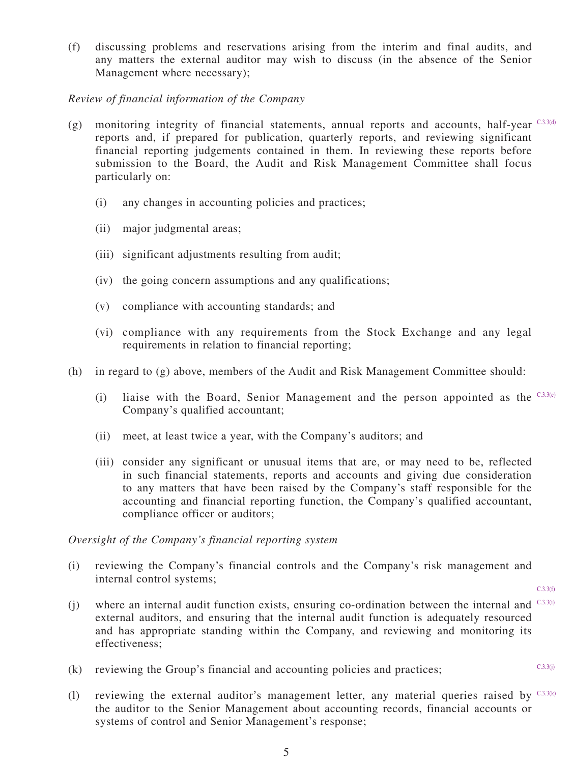(f) discussing problems and reservations arising from the interim and final audits, and any matters the external auditor may wish to discuss (in the absence of the Senior Management where necessary);

### *Review of financial information of the Company*

- (g) monitoring integrity of financial statements, annual reports and accounts, half-year  $C_3$ 3.3(d) reports and, if prepared for publication, quarterly reports, and reviewing significant financial reporting judgements contained in them. In reviewing these reports before submission to the Board, the Audit and Risk Management Committee shall focus particularly on:
	- (i) any changes in accounting policies and practices;
	- (ii) major judgmental areas;
	- (iii) significant adjustments resulting from audit;
	- (iv) the going concern assumptions and any qualifications;
	- (v) compliance with accounting standards; and
	- (vi) compliance with any requirements from the Stock Exchange and any legal requirements in relation to financial reporting;
- (h) in regard to (g) above, members of the Audit and Risk Management Committee should:
	- (i) liaise with the Board, Senior Management and the person appointed as the  $C_{.3.3(e)}$ Company's qualified accountant;
	- (ii) meet, at least twice a year, with the Company's auditors; and
	- (iii) consider any significant or unusual items that are, or may need to be, reflected in such financial statements, reports and accounts and giving due consideration to any matters that have been raised by the Company's staff responsible for the accounting and financial reporting function, the Company's qualified accountant, compliance officer or auditors;

### *Oversight of the Company's financial reporting system*

(i) reviewing the Company's financial controls and the Company's risk management and internal control systems;

 $C.3.3(f)$ 

 $C.3.3(i)$ 

- (j) where an internal audit function exists, ensuring co-ordination between the internal and  $^{C,3,3(i)}$ external auditors, and ensuring that the internal audit function is adequately resourced and has appropriate standing within the Company, and reviewing and monitoring its effectiveness;
- (k) reviewing the Group's financial and accounting policies and practices;
- (1) reviewing the external auditor's management letter, any material queries raised by  $C3.3(k)$ the auditor to the Senior Management about accounting records, financial accounts or systems of control and Senior Management's response;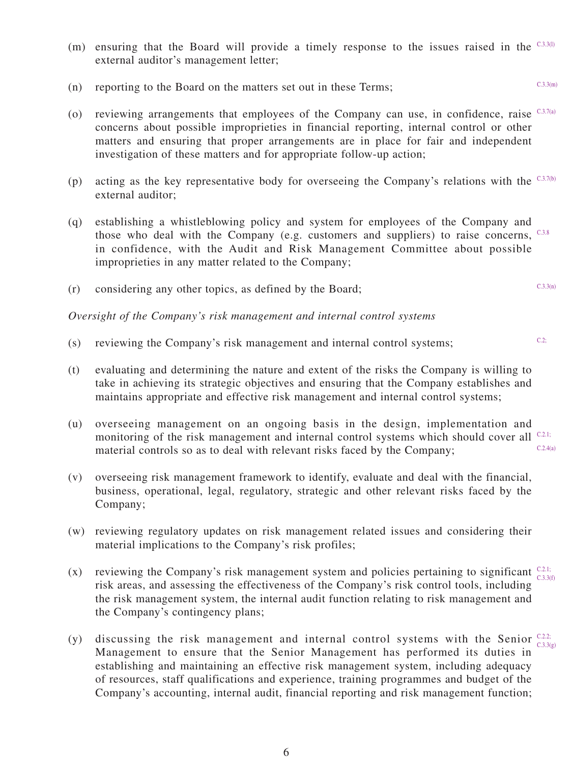- (m) ensuring that the Board will provide a timely response to the issues raised in the  $C3.3(1)$ external auditor's management letter;
- (n) reporting to the Board on the matters set out in these Terms;
- (o) reviewing arrangements that employees of the Company can use, in confidence, raise  $C_3$ .7(a) concerns about possible improprieties in financial reporting, internal control or other matters and ensuring that proper arrangements are in place for fair and independent investigation of these matters and for appropriate follow-up action;
- (p) acting as the key representative body for overseeing the Company's relations with the  $C_3$ 7(b) external auditor;
- (q) establishing a whistleblowing policy and system for employees of the Company and those who deal with the Company (e.g. customers and suppliers) to raise concerns,  $C_{.3.8}$ in confidence, with the Audit and Risk Management Committee about possible improprieties in any matter related to the Company;
- (r) considering any other topics, as defined by the Board;

#### *Oversight of the Company's risk management and internal control systems*

- (s) reviewing the Company's risk management and internal control systems;
- (t) evaluating and determining the nature and extent of the risks the Company is willing to take in achieving its strategic objectives and ensuring that the Company establishes and maintains appropriate and effective risk management and internal control systems;
- (u) overseeing management on an ongoing basis in the design, implementation and monitoring of the risk management and internal control systems which should cover all <sup>C.2.1;</sup> material controls so as to deal with relevant risks faced by the Company;  $C.2.4(a)$
- (v) overseeing risk management framework to identify, evaluate and deal with the financial, business, operational, legal, regulatory, strategic and other relevant risks faced by the Company;
- (w) reviewing regulatory updates on risk management related issues and considering their material implications to the Company's risk profiles;
- (x) reviewing the Company's risk management system and policies pertaining to significant  $\frac{C2.1}{C2.2}$ risk areas, and assessing the effectiveness of the Company's risk control tools, including the risk management system, the internal audit function relating to risk management and the Company's contingency plans; C.3.3(f)
- (y) discussing the risk management and internal control systems with the Senior  $\frac{C.2.2}{C.2.2}$ Management to ensure that the Senior Management has performed its duties in establishing and maintaining an effective risk management system, including adequacy of resources, staff qualifications and experience, training programmes and budget of the Company's accounting, internal audit, financial reporting and risk management function;  $C.3.3(e)$

C.3.3(n)

 $C.2$ 

C.3.3(m)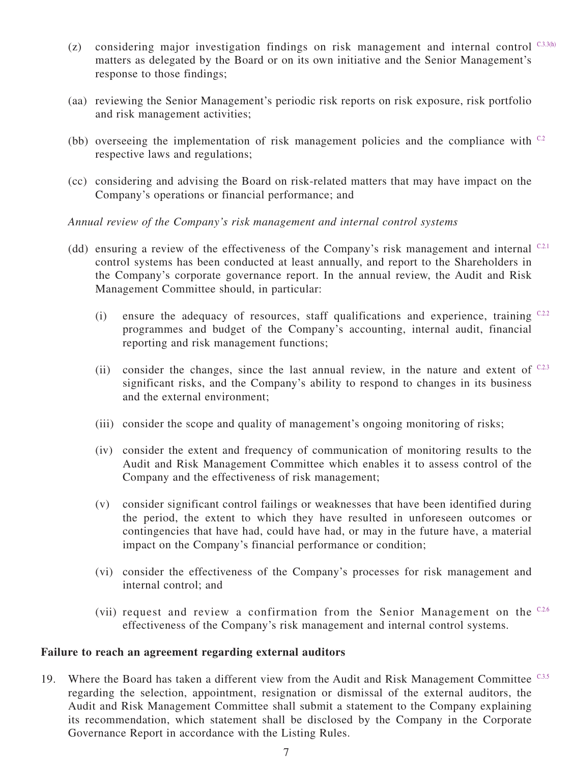- (z) considering major investigation findings on risk management and internal control  $C_3$ 3.3(h) matters as delegated by the Board or on its own initiative and the Senior Management's response to those findings;
- (aa) reviewing the Senior Management's periodic risk reports on risk exposure, risk portfolio and risk management activities;
- (bb) overseeing the implementation of risk management policies and the compliance with  $C<sub>2</sub>$ respective laws and regulations;
- (cc) considering and advising the Board on risk-related matters that may have impact on the Company's operations or financial performance; and

*Annual review of the Company's risk management and internal control systems*

- (dd) ensuring a review of the effectiveness of the Company's risk management and internal  $C2$ . control systems has been conducted at least annually, and report to the Shareholders in the Company's corporate governance report. In the annual review, the Audit and Risk Management Committee should, in particular:
	- (i) ensure the adequacy of resources, staff qualifications and experience, training  $C<sub>2,2</sub>$ programmes and budget of the Company's accounting, internal audit, financial reporting and risk management functions;
	- (ii) consider the changes, since the last annual review, in the nature and extent of  $C^{2,3}$ significant risks, and the Company's ability to respond to changes in its business and the external environment;
	- (iii) consider the scope and quality of management's ongoing monitoring of risks;
	- (iv) consider the extent and frequency of communication of monitoring results to the Audit and Risk Management Committee which enables it to assess control of the Company and the effectiveness of risk management;
	- (v) consider significant control failings or weaknesses that have been identified during the period, the extent to which they have resulted in unforeseen outcomes or contingencies that have had, could have had, or may in the future have, a material impact on the Company's financial performance or condition;
	- (vi) consider the effectiveness of the Company's processes for risk management and internal control; and
	- (vii) request and review a confirmation from the Senior Management on the  $C2.6$ effectiveness of the Company's risk management and internal control systems.

#### **Failure to reach an agreement regarding external auditors**

19. Where the Board has taken a different view from the Audit and Risk Management Committee C3.5 regarding the selection, appointment, resignation or dismissal of the external auditors, the Audit and Risk Management Committee shall submit a statement to the Company explaining its recommendation, which statement shall be disclosed by the Company in the Corporate Governance Report in accordance with the Listing Rules.